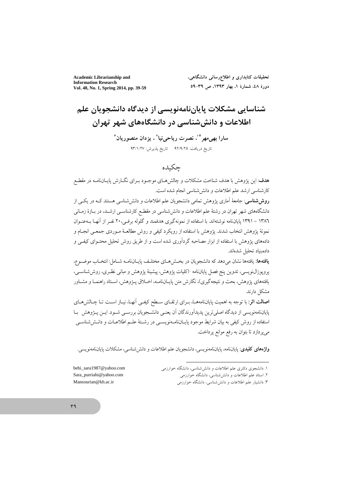**Academic Librarianship and Information Research** Vol. 48, No. 1, Spring 2014, pp. 39-59 تحقیقات کتابداری و اطلاع٫رسانی دانشگاهی، دورة ٤٨، شمارة ١، بهار ١٣٩٣، ص ٣٩-٥٩

# شناسایی مشکلات پایاننامهنویسی از دیدگاه دانشجویان علم اطلاعات و دانش شناسی در دانشگاههای شهر تهران سارا بھی مھر پُن نصرت ریاحی نیا ؒ ، پزدان منصور پان ؒ تاريخ دريافت: ٩٢/٩/٢٥ - تاريخ يذيرش: ٩٣/١/٢٧

## حكىده

هدف: این یژوهش با هدف شناخت مشکلات و چالش هـای موجـود بـرای نگـارش پایــانiامــه در مقطـع كارشناسي ارشد علم اطلاعات و دانش شناسي انجام شده است.

**روش شناسی**: جامعهٔ آماری یژوهش تمامی دانشجویان علم اطلاعات و دانش شناسی هستند کـه در یکـی از دانشگاههای شهر تهران در رشتهٔ علم اطلاعات و دانش شناسی در مقطـع کارشناسـی ارشــد، در بــازهٔ زمــانی ۱۳۸٦ – ۱۳۹۱ پایاننامه نوشتهاند. با استفاده از نمونهگیری هدفمند و گلوله برفـی،۲۰ نفـر از آنهـا بــهعنــوان نمونهٔ يژوهش انتخاب شدند. يژوهش با استفاده از رويكرد كيفي و روش مطالعــهٔ مــوردي جمعــي انجــام و دادههای پژوهش با استفاده از ابزار مصاحبه گردآوری شده است و از طریق روش تحلیل محتــوای کیفــی و دادهشاد تحليل شدهاند.

**یافتهها:** یافتهها نشان می دهد که دانشجویان در بخش هـای مختلـف پایـانiامـه شـامل: انتخـاب موضـوع، پروپوزال $نویسی، تدوین پنج فصل پایان $i$ لهه (کلیات پژوهش، پیشینهٔ پژوهش و مبانی نظری، روش شناســی،$ یافتههای پژوهش، بحث و نتیجهگیری)، نگارش متن پایـاننامـه، اخــلاق پــژوهش، اســتاد راهنمــا و مشــاور مشكل دارند.

ا**صالت اثر**: با توجه به اهمیت پایاننامههـا، بـرای ارتقـای سـطح کیفـی آنهـا، نیـاز اسـت تـا چـالش۵هـای پایاننامهنویسی از دیدگاه اصلی ترین پدیدآورندگان آن یعنـی دانشـجویان بررسـی شـود. ایــن پــژوهش بــا استفاده از روش کیفی به بیان شرایط موجود پایــانiامــهنویســی در رشــتهٔ علــم اطلاعــات و دانــششناســی مي پردازد تا بتوان به رفع موانع پرداخت.

واژههای کلیدی: پایاننامه، پایاننامهنویسی، دانشجویان علم اطلاعات و دانش شناسی، مشکلات پایاننامهنویسی.

۲. استاد علم اطلاعات و دانششاسی، دانشگاه خوارزمی

۳. دانشیار علم اطلاعات و دانش شناسی، دانشگاه خوارزمی

behi\_sara1987@yahoo.com Sara\_purriahi@yahoo.com Mansourian@kh.ac.ir

۱. دانشجوی دکتری علم اطلاعات و دانش شناسی، دانشگاه خوارزمی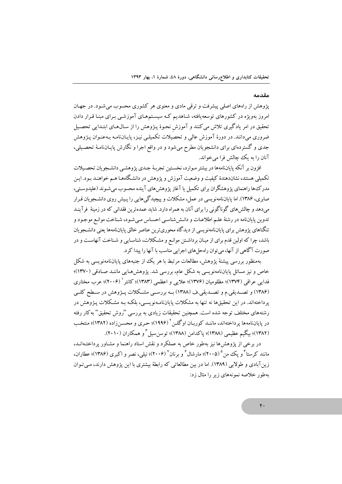#### مقدمه

پژوهش از راههای اصلی پیشرفت و ترقی مادی و معنوی هر کشوری محسوب می شـود. در جهـان امروز بهویژه در کشورهای توسعهیافته، شـاهدیم کـه سیسـتمهـای آموزشـی بـرای مبنـا قـرار دادن تحقیق در امر یادگیری تلاش میکنند و آموزش نحوهٔ پـژوهش را از سـال۱عـای ابتـدایی تحصـیل ضروری می،دانند. در دورهٔ آموزش عالمی و تحصیلات تکمیلـی نیـز، پایـانiامـه بـهعنـوان پـژوهش جدی و گستردهای برای دانشجویان مطرح میشود و در واقع اجرا و نگارش پایـانiامـهٔ تحصـیلی، آنان را به یک چالش فرا می خواند.

افزون بر آنکه پایاننامهها در بیشتر مـوارد، نخسـتین تجربـهٔ جـدی یژوهشـی دانشـجویان تحصـیلات تکمیلی هستند، نشاندهندهٔ کیفیت و وضعیت آموزش و یژوهش در دانشگاههـا هـم خواهنـد بـود. ایـن مدر کءها راهنمای یژوهشگران برای تکمیل یا آغاز پژوهش های آینده محسوب می شـوند (علیدوسـتی، صابری، ۱۳۸۶). اما پایاننامهنویسی در عمل، مشکلات و پیچیدگی هایی را پیش روی دانشجویان قبرار می دهد و چالش های گوناگونی را برای آنان به همراه دارد. شاید عمدهترین فقدانی که در زمینهٔ ً فرآینـد .<br>تدوین پایاننامه در رشتهٔ علـم اطلاعـات و دانـش شناسـی احسـاس مـی شـود، شـناخت موانـع موجـود و تنگناهای یژوهش برای پایاننامهنویسی از دیدگاه محوریترین عناصر خالق پایاننامهها یعنی دانشـجو پان باشد، چرا که اولین قدم برای از میـان برداشـتن موانـع و مشـکلات، شناسـایی و شـناخت آنهاسـت و در صورت آگاهی از آنها، می توان راهحل های اجرایی مناسب با آنها را پیدا کرد.

پهمنظور پررسي پیشنۀ پژوهش، مطالعات مرتبط با هر یک از جنبههاي پایانiامهنویسی به شکل خاص و نیز مسائل پایاننامەنویسی بە شکل عام، بررسی شد. یژوهش۱صایی ماننـد صـادقی (۱۳۷۰)؛ فدایی عراقی (۱۳۷۴)؛ مظلومیان (۱۳۷۶)؛ علایی و اعظمی (۱۳۸۳)؛ کانتر ' (۲۰۰۶)؛ عرب مختاری (۱۳۸۶) و تصــدیقی.م و تصــدیقی.ف (۱۳۸۸) بــه بررســی مشــکلات پــژوهش در ســطح کلــی یر داختهاند. در این تحقیقها نه تنها به مشکلات پایاننامـهنویسـی، بلکـه بـه مشـکلات پـژوهش در رشتههای مختلف توجه شده است. همچنین تحقیقات زیادی به بررسی "روش تحقیق" به کار رفته در پایاننامهها پرداختهاند، ماننـد کوربـان اوگلـن ۱۹۹۶)؛ حـری و محسـن(اده (۱۳۸۲)؛ منتخب (١٣٨٢)؛ بيگيم عظيمي (١٣٨٨)؛ ياكدامن (١٣٨٨)؛ توسن سيل " و همكاران (٢٠١٠).

در برخی از پژوهش ها نیز پهطور خاص به عملکرد و نقش استاد راهنما و مشـاور پرداختـهانـد، مانند کرستا <sup>۴</sup> و یک من (۲۰۰۵)؛ مارشال ٔ و برنان (۲۰۰۶)؛ نبلی، نصر و اکبری (۱۳۸۶)؛ عطاران، زین آبادی و طولایی (۱۳۸۹). اما در بین مطالعاتی که رابطهٔ بیشتری با این یژوهش دارند، مبی تبوان په طور خلاصه نمونههای زیر را مثال زد: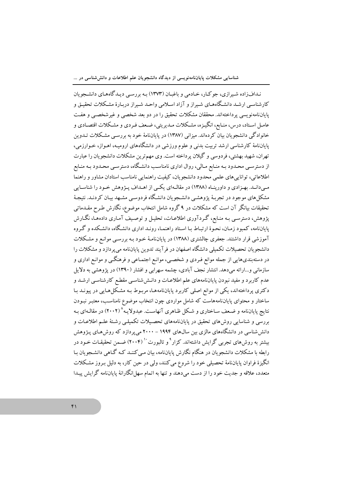ندافزاده شیرازی، جوکار، خادمی و باغبان (۱۳۷۳) به بررسی دیدگاههای دانشجویان کارشناسبی ارشـد دانشـگاههـای شـیراز و آزاد اسـلامی واحـد شـیراز دربـارهٔ مشـکلات تحقیـق و پایاننامهنویسی پرداختهاند. محققان مشکلات تحقیق را در دو بعد شخصی و غیرشخصـی و هفـت عامـل اسـتاد، درس، منـابع، انگيـزه، مشـكلات مـديريتي، ضـعف فـردي و مشـكلات اقتصـادي و خانوادگی دانشجو یان بیان کردهاند. میزانی (۱۳۸۷) در پایان،امهٔ خود به بررسبی مشکلات تـدوین پایاننامهٔ کارشناسی ارشد تربیت بدنی و علوم ورزشی در دانشگاههای ارومیـه، اهـواز، خـوارزمی، تهران، شهید بهشتی، فردوسی و گیلان پرداخته است. وی مهم ترین مشکلات دانشجویان را عبارت از دسترسـی محـدود بـه منـابع مـالی، روال اداری نامناسـب دانشـگاه، دسترسـی محـدود بـه منـابع اطلاعاتی، تواناییهای علمی محدود دانشجویان، کیفیت راهنمایی نامناسب استادان مشاور و راهنما مبی دانـد. بهـزادی و داورینـاه (۱۳۸۸) در مقالـهای یکـی از اهـداف پـژوهش خـود را شناسـایی مشکل های موجود در تجربهٔ پژوهشـی دانشـجویان دانشگاه فردوسـی مشـهد بیـان کردنـد. نتیجـهٔ تحقیقات بیانگر آن است که مشکلات در ۹ گروه شامل انتخاب موضوع، نگارش طـرح مقــدماتمی پژوهش، دسترسبی بـه منـابع، گـردآوری اطلاعـات، تحليـل و توصـيف آمـاري دادههـا، نگــارش پایاننامه، کمبود زمـان، نحـوهٔ ارتبـاط بـا اسـتاد راهنمـا، رونـد اداری دانشـگاه، دانشـکده و گـروه آموزشی قرار داشتند. جعفری چالشتری (۱۳۸۸) در پایانiامـهٔ خـود بـه بررسـی موانـع و مشـکلات دانشجویان تحصیلات تکمیلی دانشگاه اصفهان در فرآیند تدوین پایاننامه میپردازد و مشکلات را در دستهبندیهایی از جمله موانع فـردی و شخصـی، موانـع اجتمـاعی و فرهنگـی و موانـع اداری و سازمانی و...ارائه میدهد. انتشار نجف آبادی، چشمه سهرابی و افشار (۱۳۹۰) در پژوهشی به دلایل عدم کاربرد و مفید نبودن پایاننامههای علم اطلاعـات و دانـش۵نناسـی مقطـع کارشناسـی ارشــد و دکتری پرداختهاند، یکی از موانع اصلی کاربرد پایاننامههـا، مربـوط بـه مشـکل(هـایی در پیونـد بـا ساختار و محتوای پایاننامههاست که شامل مواردی چون انتخاب موضوع نامناسب، معتبـر نبـودن نتایج پایاننامه و ضعف ساختاری و شکل ظـاهری آنهاسـت. عبدولایـه^(۲۰۰۲) در مقالـهای بـه بررسی و شناسایی روش۵ای تحقیق در پایانiامههای تحصیلات تکمیلـی رشـتهٔ علـم اطلاعـات و دانشششناسی در دانشگاههای مالزی بین سالهای ۱۹۹۴ – ۲۰۰۰ میپردازد که روشهای پـژوهش بیشتر به روشهای تجربی گرایش داشتهاند. کزار<sup>۹</sup> و تالبورت<sup>۱٬</sup> (۲۰۰۴) ضمن تحقیقـات خـود در رابطه با مشکلات دانشجویان در هنگام نگارش پایاننامه، بیان مـی کننــد کــه گــاهـی دانشــجویان بــا انگیزهٔ فراوان پایاننامهٔ تحصیلی خود را شروع میکنند، ولی در حین کار، به دلیل بـروز مشکلات متعدد، علاقه و جدیت خود را از دست میدهند و تنها به اتمام سهل انگارانهٔ پایاننامه گرایش پیـدا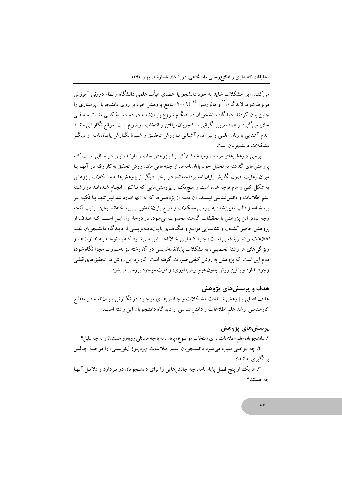می کنند. این مشکلات شاید به خود دانشجو یا اعضای هیأت علمی دانشگاه و نظام درونی آموزش مربوط شود. لاندگرن <sup>۱۱</sup> و هالورسون <sup>۱۲</sup> (۲۰۰۹) نتایج یژوهش خود بر روی دانشجویان پرستاری را چنین بیان کردند: دیدگاه دانشجویان در هنگام شروع پایـانiامـه در دو دسـتهٔ کلـی مثبـت و منفـی جای می گیرد و عمده ترین نگرانی دانشجویان، یافتن و انتخاب موضوع است. موانع نگارشی ماننـد عدم آشنایی با زبان علمی و نیز عدم آشنایی بـا روش تحقیـق و شـیوۀ نگـارش پایـانiامـه از دیگـر مشكلات دانشجو بان است.

برخی پژوهشهای مرتبط، زمینهٔ مشترکی با پـژوهش حاضـر دارنـد، ایـن در حـالی اسـت کـه پژوهشهای گذشته به تحلیل خود پایاننامهها، از جنبههایی مانند روش تحقیق بهکار رفته در آنها یـا میزان رعایت اصول نگارش پایاننامه پرداختهاند، در برخی دیگر از پژوهش ها به مشکلات پـژوهش به شکل کلی و عام توجه شده است و هیچریک از یژوهش هایی که تـاکنون انجـام شـدهانـد در رشـتهٔ علم اطلاعات و دانششاسی نیستند. آن دسته از پژوهشها که به آنها اشاره شد نیـز تنهـا بـا تکیـه بـر پرسشنامه و قالب تعیین شده به بررسی مشکلات و موانع پایاننامهنویسی پرداختهاند. بهاین ترتیب آنچه وجه تمایز این پژوهش با تحقیقات گذشته محسوب می شود، در درجهٔ اول ایـن اسـت کـه هـدف از پژوهش حاضر کشف و شناسـایی موانـع و تنگناهـای پایـانiامـهنویسـی از دیـدگاه دانشـجویان *علــم اطلاعات و دانش شناسی* است، چرا کـه ایـن خـلأ احسـاس مـی شـود کـه بـا توجـه بـه تفـاوتهـا و ویژگی های هر رشتهٔ تحصیلی، به مشکلات پایاننامهنویسی در آن رشته نیز بهصورت مجزا نگاه شود؛ دوم این است که پژوهش به *روش کیفی ص*ورت گرفته است. کاربرد این روش در تحقیقهای قبل<sub>می</sub> وجود ندارد و با اين روش بدون هيچ پيشداوري، واقعيت موجود بررسي مي شود.

#### هدف و پرسشهای پژوهش

هدف اصلی پـژوهش شـناخت مشـکلات و چـالش۵حای موجـود در نگـارش پايـانiامـه در مقطـع کارشناسی ارشد علم اطلاعات و دانش شناسی از دیدگاه دانشجو بان این رشته است.

### يرسشهاي پژوهش

۱. دانشجويان علم اطلاعات براي «انتخاب موضوع» پاياننامه با چه مسائلي روبهرو هستند؟ و به چه دليل؟ ۲. چه عواملي سبب مي شود دانشجويان علـم اطلاعـات «پروپـوزال نويسـي» را مرحلـهٔ چـالش برانگیزی بدانند؟

۳. هریک از پنج فصل پایاننامه، چه چالشهایی را برای دانشـجویان در بـردارد و دلایـل آنهـا جه هستند؟

#### ۴٢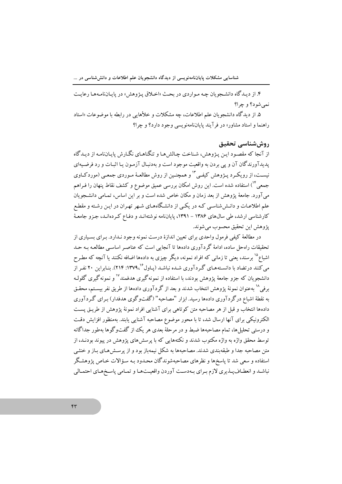۴. از دبـدگاه دانشـجويان چـه مـواردي در بحـث «اخـلاق پـژوهش» در پايـاننامـههـا رعايـت نمي شو د؟ و چرا؟

۵. از دیدگاه دانشجویان علم اطلاعات، چه مشکلات و خلأهایی در رابطه با موضوعات «استاد راهنما و استاد مشاور» در فر آیند پایاننامهنویسی وجود دارد؟ و چرا؟

#### روش شناسي تحقيق

از آنجا که مقصود این پیژوهش، شناخت چالش هـا و تنگناهـای نگـارش پایـانiامـه از دیـدگاه پدیدآورندگان آن و پی بردن به واقعیت موجود است و بهدنبـال آزمـون یـا اثبـات و رد فرضـیهای نیسـت، از رویکـرد پـژوهش کیفـی "ا و همچنـین از روش مطالعـهٔ مـوردي جمعـی (موردکـاوي جمعی <sup>۱۴</sup>) استفاده شده است. این روش امکان بررسی عمیق موضوع و کشف نقاط ینهان را فـراهم می آورد. جامعهٔ پژوهش از بعد زمان و مکان خاص شده است و بر این اساس، تمـامی دانشـجویان علم اطلاعـات و دانـش شناسـی کـه در یکـی از دانشـگاههـای شـهر تهـران در ایـن رشـته و مقطـع کارشناسی ارشد، طی سال های ۱۳۸۶ – ۱۳۹۱، پایانiامه نوشتهانـد و دفـاع کـردهانـد، جـزو جامعـهٔ يژوهش اين تحقيق محسوب مي شوند.

در مطالعهٔ کیفی فرمول واحدی برای تعیین اندازهٔ درست نمونه وجود نیدارد. بیرای بسیاری از تحقیقات راهحل ساده، ادامهٔ گردآوری دادهها تا آنجایی است که عناصر اساسبی مطالعـه بـه حـد اشباع<sup>۱۵</sup> درسند، یعنی تا زمانی که افراد نمونه، دیگر چیزی به دادهها اضافه نکنند یا آنچه که مطرح مر کنند در تضاد با دانستههای گه دآوری شـده نباشـد (پیاول<sup>۶٬</sup> ۱۳۷۹٬<sup>۱۶</sup>). بنیابراین ۲۰ نفر از دانشجو بان که جزو جامعهٔ یژوهش بودند، با استفاده از نمونه گیری هدفمند<sup>۱۷</sup> و نمونه گیری گلولـه بر في <sup>١٨</sup> يه عنوان نمونهٔ يژوهش انتخاب شدند و يعد از گر دآوري دادهها از طريق نفر بيستم، محقـق به نقطهٔ اشباع در گردآوری دادهها رسید. ایزار "مصاحبه" (گفتوگوی هدفدار) بیرای گیردآوری دادهها انتخاب و قبل از هر مصاحبه متن کو تاهی برای آشنایی افراد نمونهٔ پژوهش از طریق پست الکترونیکی برای آنها ارسال شد، تا با محور موضوع مصاحبه آشنایی پابند. بهمنظور افزایش دقت و درستی تحلیل ها، تمام مصاحبهها ضبط و در مرحلهٔ بعدی هر یک از گفتوگوها بهطور جداگانه توسط محقق واژه به واژه مکتوب شدند و نکتههایی که با پرسش های پژوهش در پیوند بودنـد، از متن مصاحبه جدا و طبقه نندی شدند. مصاحبهها به شکل نیمه باز بود و از پرسش هـای بـاز و خنثـی استفاده و سعی شد تا یاسخها و نظرهای مصاحبهشوندگان محـدود بـه سـؤالات خـاص یژوهشـگر نباشـد و انعطـاف يـذيري لازم بـراي بـهدسـت آوردن واقعيـتهـا و تمـامي ياسـخهـاي احتمـالي

 $\mathsf{f}\mathsf{r}$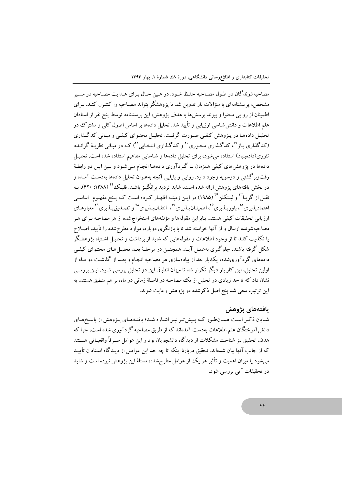مصاحبهشوندگان در طـول مصـاحبه حفـظ شـود. در عـین حـال بـرای هـدایت مصـاحبه در مسـیر مشخص، پرسشنامهای با سؤالات باز تدوین شد تا پژوهشگر بتواند مصـاحبه را کنتـرل کنـد. بـرای اطمینان از روایی محتوا و پیوند پرسشها با هدف پژوهش، این پرسشنامه توسط پنج نفر از استادان علم اطلاعات و دانشششناسی ارزیابی و تأیید شد. تحلیل دادهها بر اساس اصول کلی و مشترک در تحلیل دادههـا در پـژوهش کیفـی صـورت گرفـت. تحلیـل محتـوای کیفـی و مبـانی کدگـذاری (کدگذاری بـاز<sup>۱۹</sup>، کدگـذاری محـوری<sup>۲۰</sup> و کدگـذاری انتخـابی<sup>۲۱</sup>) کـه در مبـانی نظریـهٔ گرانـدد تئوری(دادهبنیاد) استفاده می شود، برای تحلیل دادهها و شناسایی مفاهیم استفاده شده است. تحلیـل دادهها در پژوهش های کیفی همزمان بـا گـر دآوری دادههـا انجـام مـی شـود و بـین ایـن دو رابطـهٔ رفتوبرگشتی و دوسویه وجود دارد. روایی و پایایی آنچه بهعنوان تحلیل دادهها بهدست آمـده و در بخش یافتههای یژوهش ارائه شده است، شاید تردید برانگیـز باشـد. فلیـکٌ `` (۱۳۸۸: ۴۲۰)، بـه نقـل از گوبـا <sup>۲۲</sup> و لیـنکلن <sup>۲۴</sup> (۱۹۸۵) در ایـن زمینـه اظهـار کـرده اسـت کـه پـنج مفهـوم اساسـی اعتمادپذیری°٬ باورپذیری°٬ اطمینـانپـذیری°٬ انتقـالپـذیری°٬ و تصـدیقپـذیری°٬ معیارهـای ارزیابی تحقیقات کیفی هستند. بنابراین مقولهها و مؤلفههای استخراج شده از هر مصاحبه بیرای هیر مصاحبهشونده ارسال و از آنها خواسته شد تا با بازنگری دوباره، موارد مطرحشده را تأیید، اصـلاح یا تکذیب کنند تا از وجود اطلاعات و مقولههایی که شاید از برداشت و تحلیـل اشـتباه یژوهشگر شکل گرفته باشند، جلوگیری بهعمل آیـد. همچنـین در مرحلـهٔ بعـد تحلیـل(هـای محتـوای کیفـی دادههای گردآوریشده، یک بار بعد از پیادهسازی هر مصاحبه انجـام و بعـد از گذشـت دو مـاه از اولین تحلیل، این کار بار دیگر تکرار شد تا میزان انطباق این دو تحلیل بررسی شـود. ایـن بررسـی نشان داد که تا حد زیادی دو تحلیل از یک مصاحبه در فاصلهٔ زمانی دو ماه، بر هم منطبق هستند. به این ترتیب سعی شد پنج اصل ذکرشده در پژوهش رعایت شوند.

#### يافتەهاي يژوهش

شـایان ذکـر اسـت همـانطـور کـه پـیشتر نیـز اشـاره شـد؛ یافتـههـای پـژوهش از پاسـخهـای دانش آموختگان علم اطلاعات بهدست آمدهاند که از طریق مصاحبه گر دآوری شده است، چرا که هدف تحقیق نیز شناخت مشکلات از دیدگاه دانشجویان بود و این عوامل صبرفاً واقعیباتی هستند که از جانب آنها بیان شدهاند. تحقیق دربارهٔ اینکه تا چه حد این عوامـل از دیـدگاه اسـتادان تأییـد می شود یا میزان اهمیت و تأثیر هر یک از عوامل مطرحشده، مسئلهٔ این یژوهش نبوده است و شاید در تحقیقات آتی بررسی شود.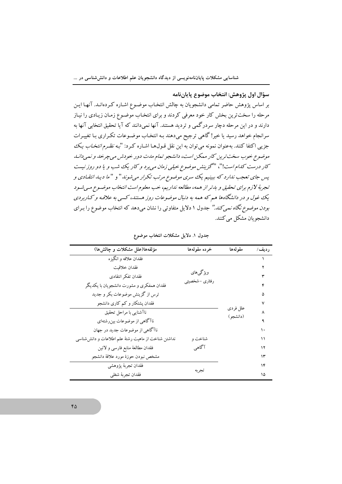سؤال اول پژوهش: انتخاب موضوع پاياننامه

بر اساس یژوهش حاضر تمامی دانشجویان به چالش انتخـاب موضـوع اشـاره کـردهانـد. آنهـا ایـن مرحله را سخت ترین بخش کار خود معرفی کردند و برای انتخـاب موضـوع زمـان زیـادی را نیـاز دارند و در این مرحله دچار سردرگمی و تردید هستند. آنها نمی دانند که آیا تحقیق انتخابی آنها به سرانجام خواهد رسید یا خیر! گاهی ترجیح میدهند بـه انتخـاب موضـوعات تکـراری بـا تغییـرات جزیی اکتفا کنند. بهعنوان نمونه می توان به این نقل قـولهـا اشـاره کـرد: "*بـه نظـرم انتخـاب یـک* .<br>موضوع خوب سخت ترین کار ممکن است، دانشجو تمام ملت دور خودش می چرخه و نمی دانید. کار درست کدام است!"، "گزینش موضوع خیلی زمان می برد و کار یک شب و یا دو روز نیست پس جای تعجب ندارد که ببینیم یک سری موضوع مرتب تکرار می شوند " و "ما دید انتقادی و تجربهٔ لازم برای تحقیق و بدتر از همه، مطالعه نداریم، خب معلوم است انتخاب موضوع می شود یک غول و در دانشگاهها هم که همه به دنبال موضوعات روز هستند، کسی به علاقـه و کـاربردی ب*ودن موضوع نگاه نمی کند."* جدول ۱ دلایل متفاوتی را نشان میدهد که انتخاب موضوع را بـرای دانشجو يان مشكل مي كنند.

| مؤلفهها(علل مشكلات و چالشها)                         | خرده مقولهها   | مقولهها  | ر ديف/ |
|------------------------------------------------------|----------------|----------|--------|
| فقدان علاقه و انگيز ه                                |                |          |        |
| فقدان خلاقيت                                         |                |          |        |
| فقدان تفكر انتقادى                                   | ویژگے های      |          |        |
| فقدان همفکری و مشورت دانشجویان با یکدیگر             | رفتاری –شخصیتی |          | ۴      |
| ترس از گزینش موضوعات بکر و جدید                      |                |          | ۵      |
| فقدان پشتکار و کم کاری دانشجو                        |                |          | ٧      |
| ناآشنايي با مراحل تحقيق                              |                | علل فردي | ٨      |
| ناآگاهی از موضوعات بین رشتهای                        | (دانشجو )      |          |        |
| ناآگاهی از موضوعات جدید در جهان                      |                |          | ١.     |
| نداشتن شناخت از ماهیت رشتهٔ علم اطلاعات و دانش شناسی | شناخت و        |          | ۱۱     |
| فقدان مطالعهٔ منابع فارسی و لاتین                    | آگاهی          |          | ۱۲     |
| مشخص نبودن حوزة مورد علاقة دانشجو                    |                |          | ۱۳     |
| فقدان تجربه يؤوهشي                                   | تجر به         |          | ۱۴     |
| فقدان تجربة شغلي                                     |                |          | ۱۵     |

جدول ۱. دلایل مشکلات انتخاب موضوع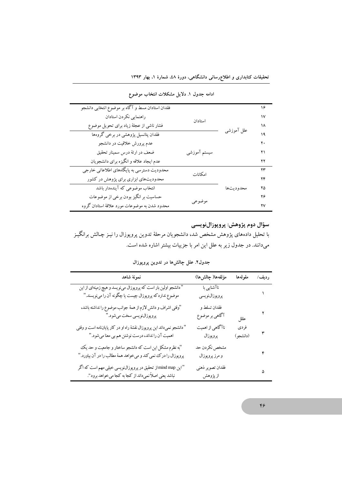| فقدان استادان مسط و آگاه بر موضوع انتخابی دانشجو |              |            | ۱۶ |
|--------------------------------------------------|--------------|------------|----|
| راهنمايي نكردن استادان                           | استادان      |            | ١٧ |
| فشار ناشی از عجلهٔ زیاد برای تحویل موضوع         |              |            | ۱۸ |
| فقدان پتانسیل پژوهشی در برخی گروهها              |              | علل آموزشی | ۱۹ |
| عدم پرورش خلاقیت در دانشجو                       |              |            | ٢٠ |
| ضعف در ارئهٔ درس سمینار تحقیق                    | سيستم آموزشي |            | ۲۱ |
| عدم ايجاد علاقه و انگيزه براي دانشجويان          |              |            | ۲۲ |
| محدودیت دسترسی به پایگاههای اطلاعاتی خارجی       | امكانات      |            | ۲۳ |
| محدودیتهای ابزاری برای پژوهش در کشور             |              |            | ۲۴ |
| انتخاب موضوعی که آیندهدار باشد                   |              | محدوديتها  | ۲۵ |
| حساسیت بر انگیز بودن برخی از موضوعات             |              |            | ۲۶ |
| محدود شدن به موضوعات مورد علاقهٔ استادان گروه    | موضوعي       |            | ۲۷ |

ادامه جدول ۱. دلایل مشکلات انتخاب موضوع

#### سؤال دوم پژوهش: پروپوزالنویسی

با تحلیل دادههای پژوهش مشخص شد، دانشجویان مرحلهٔ تدوین پروپوزال را نیـز چـالش برانگیـز میدانند. در جدول زیر به علل این امر با جزییات بیشتر اشاره شده است.

جدول۲. علل چالشها در تدوین پروپوزال

| نمونة شاهد                                                                                                                 | مؤلفەها( چالش&ا)                | مقولهها          | رديف/ |
|----------------------------------------------------------------------------------------------------------------------------|---------------------------------|------------------|-------|
| " دانشجو اولین بار است که پروپوزال میiویسد و هیچ زمینهای از این<br>موضوع نداردکه پروپوزال چیست یا چگونه آن را مینویسند."   | ناآشنایی با<br>پروپوزالنویسی    |                  |       |
| "وقتي اشراف و دانش لازم از همهٔ جوانب موضوع را نداشته باشد،<br>پروپوزالنويسي سخت ميشود."                                   | فقدان تسلط و<br>آگاهی بر موضوع  | عللل             |       |
| " دانشجو نمیداند این پروپوزال نقشهٔ راه او در کار پایاننامه است و وقتی<br>اهمیت آن را نداند، درست نوشتن هم بی معنا میشود." | ناآگاهی از اهمیت<br>پروپوزال    | فردى<br>(دانشجو) |       |
| "به نظرم مشکل این است که دانشجو ساختار و جامعیت و حد یک<br>پروپوزال را در ک نمی کند و میخواهد همهٔ مطالب را در آن بیاورد." | مشخص نكردن حد<br>و مرز پروپوزال |                  | ۴     |
| "این mind map از تحقیق در پروپوزال.نویسی خیلی مهم است که اگر<br>نباشد یعنی اصلاً نمیداند از کجا به کجا میخواهد برود''.     | فقدان تصوير ذهني<br>از پژوهش    |                  | ۵     |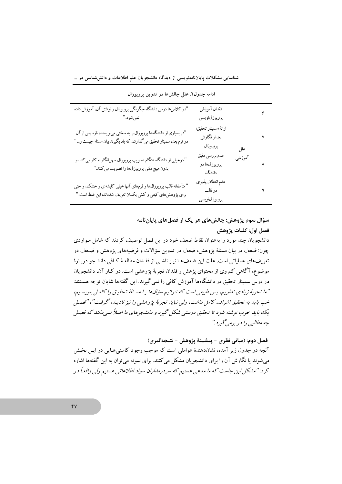| "در کلاس۵ها درس دانشگاه چگونگی پروپوزال و نوشتن آن، آموزش داده<br>نميشود."                                                                   | فقدان آموزش<br>پروپوزالنويسى                             | ۶ |
|----------------------------------------------------------------------------------------------------------------------------------------------|----------------------------------------------------------|---|
| "در بسیاری از دانشگاهها پروپوزال را به سختی مینویسند، تازه پس از آن<br>در ترم بعد، سمینار تحقیق می گذارنند که یاد بگیرند بیان مسئله چیست و…" | ارائهٔ «سمینار تحقیق»<br>بعد از نگارش<br>پروپوزال<br>علل | ۷ |
| " درخیلی از دانشگاه هنگام تصویب پروپوزال سهل انگارانه کار می کنند و<br>بدون هيچ دقتي پروپوزالها را تصويب مي كنند."                           | عدم بررسي دقيق<br>آموزشى<br>پروپوزالها در<br>دانشگاه     | ٨ |
| " متأسفانه قالب پروپوزالها و فرمهای آنها خیلی کلیشهای و خشکند و حتی<br>برای پژوهش،های کیفی و کمّی یکسان تعریف شدهاند، این غلط است."          | عدم انعطاف پذيري<br>در قالب<br>پروپوزالنویسی             |   |

ادامه جدول٢. علل چالشها در تدوين يرويوزال

سؤال سوم پژوهش: چالشهای هر یک از فصلهای پایاننامه فصل اول: كليات يژوهش

دانشجویان چند مورد را بهعنوان نقاط ضعف خود در این فصل توصیف کردند که شامل مـواردی چون: ضعف در بیان مسئلهٔ یژوهش، ضعف در تدوین سؤالات و فرضیههای یژوهش و ضـعف در تعریفهای عملیاتی است. علت این ضعفهـا نیـز ناشـی از فقـدان مطالعـهٔ کـافی دانشـجو دربـارهٔ موضوع، آگاهی کم وی از محتوای پژهش و فقدان تجربهٔ پژوهشی است. در کنار آن، دانشجویان در درس سمینار تحقیق در دانشگاهها آموزش کافی را نمی گیرند. این گفتهها شایان توجه هسـتند. "ما تجربهٔ زیادی نداریم، پس طبیعی است که نتوانیم سؤالها یا مسئلهٔ تحقیق را کامل بنویسیم، خب بايد به تحقيقي اشراف كامل داشت، ولي نبايد تجربهٔ پژوهشي را نيز ناديبده گرفت"، "فصل یک با به خوب نوشته شود تا تحقیق درسته شکل گیرد و دانشجوهای ما اصلاً نعه دانند که فصل چه مطالبي را در برمي گيرد."

فصل دوم: (مباني نظري - پيشينۀ پژوهش - نتيجه گيري) آنچه در جدول زیر آمده، نشاندهندهٔ عواملی است که موجب وجود کاستی هـایی در ایـن بخـش می شوند یا نگارش آن را برای دانشجویان مشکل می کنند. برای نمونه می توان به این گفتهها اشاره کر د: "مشکل این جاست که ما مدعی هستیم که سردرمداران سواد اطلاعاتی هستیم ولی واقعاً در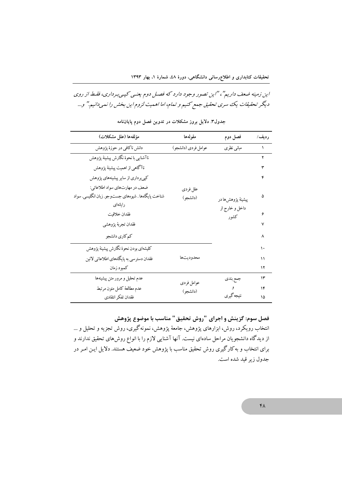# این زمینه ضعف داریم"، "این تصور وجود دارد که فصل دوم یعنبی کپهیبرداری، فقط از روی دیگر تحقیقات یک سری تحقیق جمع کنیم و تمام، اما اهمیت لزوم این بخش را نمیدانیم." و...

| مؤلفهها (علل مشكلات)                                | مقولهها             | فصل دوم           | رديف/ |
|-----------------------------------------------------|---------------------|-------------------|-------|
| دانش ناكافي در حوزهٔ پژوهش                          | عوامل فردي (دانشجو) | مباني نظري        | ١     |
| ناآشنايي با نحوة نگارش پيشينۀ پژوهش                 |                     |                   | ۲     |
| ناآگاهي از اهميت پيشينهٔ پژوهش                      |                     |                   | ٣     |
| کپیبرداری از سایر پیشینههای پژوهش                   |                     |                   | ۴     |
| ضعف در مهارتهاي سواد اطلاعاتي:                      | علل فردى            |                   |       |
| شناخت پايگاهها . شيوههاي جستوجو. زبان انگليسي. سواد | (دانشجو)            | پيشينۀ پژوهشها در | ۵     |
| رايانەاي                                            |                     | داخل و خارج از    |       |
| فقدان خلاقيت                                        |                     | كشور              | ۶     |
| فقدان تجربه پژوهشي                                  |                     |                   |       |
| كمكاري دانشجو                                       |                     |                   | ٨     |
| كليشهاى بودن نحوة نگارش پيشينهٔ پژوهش               |                     |                   | ۱۰    |
| فقدان دسترسي به پايگاههاي اطلاعاتي لاتين            | محدوديتها           |                   | ۱۱    |
| كمبود زمان                                          |                     |                   | ۱۲    |
| عدم تحليل و مرور متن پيشينهها                       | عوامل فردى          | جمع بندي          | ۱۳    |
| عدم مطالعهٔ كامل متون مرتبط                         | (دانشجو)            | و                 | ۱۴    |
| فقدان تفكر انتقادى                                  |                     | نتيجه گير ي       | ۱۵    |

جدول۳ دلایل بروز مشکلات در تدوین فصل دوم پایاننامه

فصل سوم: گزینش و اجرای "روش تحقیق" مناسب با موضوع پژوهش انتخاب رویکرد، روش، ابزارهای پژوهش، جامعهٔ پژوهش، نمونهگیری، روش تجزیه و تحلیل و … از دیدگاه دانشجویان مراحل سادهای نیست. آنها آشنایی لازم را با انواع روشهای تحقیق ندارند و برای انتخاب و به کارگیری روش تحقیق مناسب با پژوهش خود ضعیف هستند. دلایل ایـن امـر در جدول زير قيد شده است.

 $\mathsf{f}\Lambda$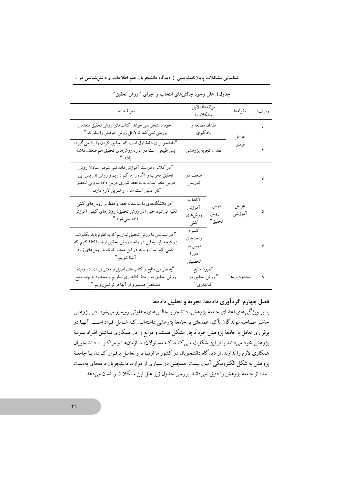| نمونهٔ شاهد                                                                                                                                                                                      | مؤلفهها(دلايل<br>مشكلات)                     |                         | مقولهها         | رديف/ |
|--------------------------------------------------------------------------------------------------------------------------------------------------------------------------------------------------|----------------------------------------------|-------------------------|-----------------|-------|
| " خود دانشجو نمیخواند. کتابهای روش تحقیق متعدد را<br>بررسی نمی کند تا لااقل روش خودش را بخواند."                                                                                                 | فقدان مطالعه و<br>يادگيري                    |                         | عوامل           |       |
| "دانشجو برای دفعهٔ اول است که تحقیق کردن را یاد میگیرد،<br>پس طبیعی است در مورد روش۵ای تحقیق هم ضعف داشته<br>ىاشد. ''                                                                            | فقدان تجربه پژوهشي                           |                         | فردي            |       |
| "در کلاس، درست آموزش داده نمیشود، استادان روش<br>تحقیق مجرب و آگاه را ما کم داریم و روش تدریس این<br>درس غلط است. به ما فقط تئوری درس دادهاند ولی تحقیق<br>کار عملی است مثال و تمرین لازم دارد." | ضعف در<br>تدريس                              |                         |                 | ٣     |
| " در دانشگاههای ما متأسفانه فقط و فقط بر روشهای کمّی<br>تکیه میشود حتی (در روش تحقیق) روشهای کیفی آموزش<br>داده نميشود."                                                                         | اكتفا به<br>آموزش<br>روشهای<br>كمتى          | درس<br>" روش<br>تحقيق " | عوامل<br>آموزشى |       |
| " در لیسانس ما روش تحقیق نداریم که به نظرم باید بگذراند.<br>در نتیجه باید به این دو واحد روش تحقیق ارشد اکتفا کنیم که<br>خیلبی کم است و باید در این مدت کوتاه با روشهای زیاد<br>آشنا شويم.''     | كمبود<br>واحدهاى<br>درس در<br>دورۂ<br>تحصيلى |                         |                 | ٧     |
| "به نظر من منابع و کتابهای اصیل و معتبر زیادی در زمینهٔ<br>روش تحقیق در رشتهٔ کتابداری نداریم و محدود به چند منبع<br>مشخص هستیم و از آنها فراتر نمیرویم."                                        | كمبود منابع<br>" روش تحقیق در<br>كتابداري"   |                         | محدوديتها       | ٨     |

شناسایی مشکلات پایاننامهنویسی از دیدگاه دانشجویان علم اطلاعات و دانششناسی در …

جدول٤. علل وجود چالشهای انتخاب و اجرای "روش تحقیق"

فصل چهارم: گردآوري دادهها، تجزيه و تحليل دادهها

بنا بر ویژگیهای اعضای جامعهٔ پژوهش، دانشجو با چالشهای متفاوتی روبهرو میشود. در پـژوهش حاضر مصاحبهشوندگان تأکید عمدهای بر جامعهٔ پژوهشی داشتهانـد کـه شـامل افـراد اسـت. آنهـا در برقراری تعامل با جامعهٔ پژوهش خود دچار مشکل هستند و موانع را در همکاری نداشتن افـراد نمونـهٔ پژوهش خود میدانند یا از این شکایت مییکننـد کـه مسـئولان، سـازمانهـا و مراکـز بـا دانشـجویان همکاری لازم را ندارند. از دیدگاه دانشجویان در کشور ما ارتباط و تعامل برقـرار کـردن بـا جامعـهٔ پژوهش به شکل الکترونیکی آسان نیست. همچنین در بسیاری از موارد، دانشجویان دادههای بهدست آمده از جامعهٔ پژوهش را دقیق نمیدانند. بررسی جدول زیر علل این مشکلات را نشان میدهد.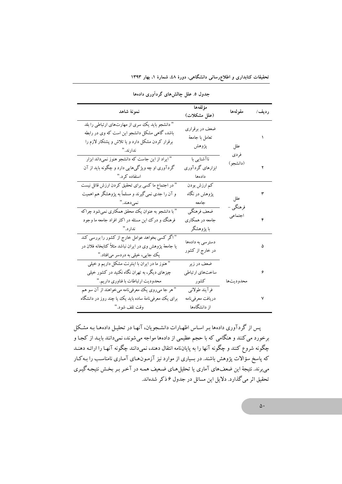تحقیقات کتابداری و اطلاع٫رسانی دانشگاهی، دورهٔ ٤٨، شمارهٔ ۱، بهار ۱۳۹۳

|                                                          | مؤلفهها          |           |       |
|----------------------------------------------------------|------------------|-----------|-------|
| نمونهٔ شاهد<br>(علل مشكلات)                              |                  | مقولهها   | رديف/ |
| " دانشجو باید یک سری از مهارتهای ارتباطی را بلد          |                  |           |       |
| باشد، گاهی مشکل دانشجو این است که وی در رابطه            | ضعف در برقراري   |           |       |
| برقرار کردن مشکل دارد و یا تلاش و پشتکار لازم را         | تعامل با جامعهٔ  |           |       |
| ندارند. "                                                | پژوهش            | علل       |       |
| " ایراد از این جاست که دانشجو هنوز نمیداند ابزار         | ناآشنایی با      | فردي      |       |
| گردآوری او چه ویژگیهایی دارد و چگونه باید از آن          | ابزارهای گردآوری | (دانشجو)  |       |
| استفاده کرد."                                            | دادەھا           |           |       |
| " در اجتماع ما كسي براي تحقيق كردن ارزش قائل نيست        | کم ارزش بودن     |           |       |
| و آن را جدی نمی گیرند و مسلماً به پژوهشگر هم اهمیت       | پژوهش در نگاه    | علل       | ٣     |
| نمىدھند."                                                | جامعه            | فرهنگي -  |       |
| " با دانشجو به عنوان یک محقق همکاری نمیشود چراکه         | ضعف فرهنگي       | اجتماعي   |       |
| فرهنگ و درک این مسئله در اکثر افراد جامعه ما وجود        | جامعه در همکاري  |           | ۴     |
| ندارد."                                                  | با پژوهشگر       |           |       |
| " اگر کسی بخواهد عوامل خارج از کشور را بررسی کند         | دسترسی به دادهها |           |       |
| یا جامعهٔ پژوهش وی در ایران نباشد مثلاً کتابخانه فلان در | در خارج از کشور  |           | ۵     |
| یک جایی، خیلی به دردسر میافتاد."                         |                  |           |       |
| " هنوز ما در ایران با اینترنت مشکل داریم و خیلی          | ضعف در زیر       |           |       |
| چیزهای دیگر، به تهران نگاه نکنید در کشور خیلی            | ساختهاي ارتباطي  |           | ۶     |
| محدوديت ارتباطات با فناوري داريم."                       | كشور             | محدوديتها |       |
| " هر جا میروی یک معرفیiامه میخواهند از آن سو هم          | فرآيند طولانبي   |           |       |
| برای یک معرفیiامهٔ ساده باید یک یا چند روز در دانشگاه    | دريافت معرفىنامه |           | ٧     |
| وقت تلف شود."                                            | از دانشگاهها     |           |       |

جدول ٥. علل چالشهای گردآوری دادهها

پس از گردآوری دادهها بـر اسـاس اظهـارات دانشـجویان، آنهـا در تحلیـل دادههـا بـه مشـكل برخورد می کنند و هنگامی که با حجم عظیمی از دادهها مواجه میشوند، نمیدانند بایـد از کجـا و چگونه شروع کنند و چگونه آنها را به پایاننامه انتقال دهند، نمیدانند چگونه آنهـا را ارائـه دهنـد که پاسخ سؤالات پژوهش باشند. در بسیاری از موارد نیز آزمـون۱مـای آمـاری نامناسـب را بـهکـار می برند. نتیجهٔ این ضعفهای آماری یا تحلیلهای ضعیف همـه در آخـر بـر بخـش نتیجـه گیـری تحقیق اثر میگذارد. دلایل این مسائل در جدول ۶ ذکر شدهاند.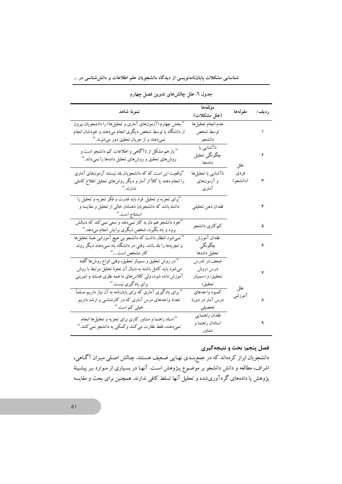| نمونة شاهد                                                     | مؤلفهها             | مقولهها  | رديف/ |
|----------------------------------------------------------------|---------------------|----------|-------|
|                                                                | (علل مشكلات)        |          |       |
| " بخش چهارم (آزمونهای آماری و تحلیلها) را دانشجویان بیرون      | عدم انجام تحليلها   |          |       |
| از دانشگاه یا توسط شخص دیگری انجام میدهند و خودشان انجام       | توسط شخص            |          | ١     |
| نميدهند و از جريان تحقيق دور ميشوند."                          | دانشجو              |          |       |
| " باز هم مشکل از ناآگاهی و اطلاعات کم دانشجو است و             | ناآشنایی با         |          |       |
| روشهای تحقیق و روشهای تحلیل دادهها را نمیداند."                | چگونگي تحليل        |          | ۲     |
|                                                                | دادەھا              | علل      |       |
| "واقعیت این است که که دانشجویان بلد نیستند آزمونهای آماری      | ناآشنایی با تحلیلها | فردى     |       |
| را انجام دهند یا کلاً از آمار و دیگر روشهای تحلیل اطلاع کاملی  | و آزمونهای          | (دانشجو) | ٣     |
| ندارند."                                                       | آماری               |          |       |
| "برای تجزیه و تحلیل فرد باید قدرت و فکر تجزیه و تحلیل را       |                     |          |       |
| داشته باشد که دانشجویان ذهنشان خالی از تحلیل و مقایسه و        | فقدان ذهن تحليلي    |          | ۴     |
| استنتاج است. "                                                 |                     |          |       |
| "خود دانشجو هم دل به کار نمیّ(دهد و سعی نمی کند که دنبالش      |                     |          | ۵     |
| برود و یاد بگیرد، شخص دیگری برایش انجام میدهد."                | كم كارى دانشجو      |          |       |
| " نمیشود انتظار داشت که دانشجو بی هیچ آموزشی همهٔ تحلیلها      | فقدان آموزش         |          |       |
| و تجزیهها را بلد باشد. وقتی در دانشگاه یاد نمیدهند دیگر روند   | چگونگی              |          | ۶     |
| كار مشخص است "                                                 | تحليل دادهها        |          |       |
| " در روش تحقیق و سمینار تحقیق، وقتی انواع روش۵ا گفته           | ضعف در تدرس         |          |       |
| میشود باید کامل باشند به دنبال آن نحوهٔ تحلیل مرتبط با روش     | درس «روش            |          | ٧     |
| آموزش داده شود، ولی کلاسهای ما همه نظری هستند و تمرینی         | تحقیق» و «سمینار    |          |       |
| برای یادگیری نیست."                                            | تحقيق»              | علل      |       |
| " برای یادگیری آماری که برای پایانiامه به آن نیاز داریم مسلماً | كمبود واحدهاي       | آموزشى   |       |
| تعداد واحدهای درس آماری که در کارشناسی و ارشد داریم            | درس آمار در دورهٔ   |          | ٨     |
| خیلی کم است."                                                  | تحصيلى              |          |       |
| " استاد راهنما و مشاور كارى براى تجزيه و تحليلها انجام         | فقدان راهنمايي      |          |       |
| نميدهند، فقط نظارت مي كنند و كمكي به دانشجو نمي كنند."         | استادان راهنما و    |          | ٩     |
|                                                                | مشاه د              |          |       |

جدول ٦. علل چالشهای تدوین فصل چهارم

شناسایی مشکلات پایاننامهنویسی از دیدگاه دانشجویان علم اطلاعات و دانششناسی در …

### فصل پنجم: بحث و نتيجه گيري

دانشجویان ابراز کردهاند که در جمع بنـدی نهـایی ضـعیف هسـتند. چـالش اصـلی میـزان آگـاهی، اشراف، مطالعه و دانش دانشجو بر موضـوع پـژوهش اسـت. آنهـا در بسـیاری از مـوارد بـر پیشـینهٔ پژوهش یا دادههای گردآوریشده و تحلیل آنها تسلط کافی ندارند. همچنین برای بحث و مقایسه

 $\Delta$  \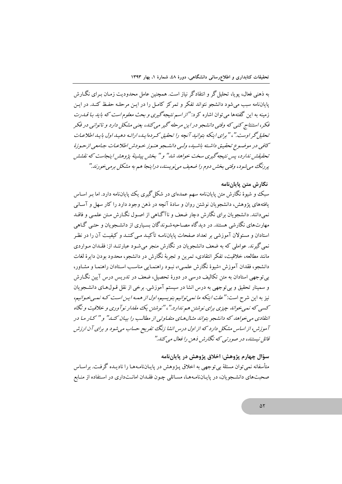به ذهنی فعال، یو یا، تحلیل گر و انتقادگر نیاز است. همچنین عامل محدودیت زمـان بـرای نگــارش پایاننامه سب می شود دانشجو نتواند تفکر و تمرکز کامل را در این مرحله حفیظ کنید. در این زمینه به این گفتهها می توان اشاره کرد: *"از اسم نتیجه گیری و بحث معلوم است که باید بـا قـدرت* .<br>فکر، استنتاج کنبی که وقتبی دانشجو در این مرحله گیر می کند، بعنبی مشکل دارد و ناتوانبی در فکر تحلیل گر اوست." ، " برای اینکه بتوانید آنچه دا تحقیق که دهاسد، ادائیه دهیید اول بایید اطلاعیات كافيي در موضوع تحقيق داشته باشيه، وليي دانشجو هنبوز خبودش اطلاعيات جيامعي ازحبوزهٔ تحقیقش ندارد، پس نتیجه گیری سخت خواهد شد" و " بخش پیشینهٔ پژوهش اینجاست که نقشش پر رنگ می شود، وقتی بخش دوم را ضعیف می نویسند، دراینجا هم به مشکل برمه خورند."

#### نگارش متن پایاننامه

سبک و شیوهٔ نگارش متن یایانiامه سهم عمدهای در شکل گیری یک ییایانiامه دارد. اما بـر اسـاس یافتههای یژوهش، دانشجو بان نوشتن روان و سادهٔ آنچه در ذهن وجود دارد را کار سهل و آسـانی نمی دانند. دانشجویان برای نگارش دچار ضعف و ناآگـاهی از اصـول نگـارش مـتن علمـی و فاقـد مهارتهای نگارشی هستند. در دیدگاه مصاحبهشوندگان بسیاری از دانشـجویان و حتبی گـاهی استادان و مسئولان آموزشی بر تعداد صفحات پایاننامـه تأکیـد مـی کننـد و کیفیـت آن را در نظـر نمي گيرند. عواملي كه به ضعف دانشجو يان در نگارش منجر مي شـو د عبار تنـد از: فقـدان مـواردي مانند مطالعه، خلاقت، تفکر انتقادی، تمرین و تحریهٔ نگارش در دانشجو، محدود بودن دایرهٔ لغات دانشجو، فقدان آموزش «شبوهٔ نگارش علمه »، نسود راهنمبایی مناسب استادان راهنمبا و مشباور، بی توجهی استادان به متن تکالیف درسی در دورهٔ تحصیل، ضعف در تدریس درس آیین نگـارش و سمینار تحقیق و بی توجهی به درس انشا در سیستم آموزشی. برخی از نقل قـولهـای دانشـجویان نیز به این شرح است: *"علت اینکه ما ن*مه *توانیم بنویسیم، اول از همه این است کـه نمـه خـوانیم،* .<br>کسبی که نعبی خواند چیزی برای نوشتن هم ندارد."، "نوشتن یک مقدار نوآوری و خلاقیت و نگاه انتقادی می خواهد که دانشجو بتواند مثـال۱مـای متفـاوتی از مطالـب را بیـان کـنـد" و " کـار مـا در آموزش، از اساس مشکل دارد که از اول درس انشا زنگ تفریح حساب می شود و برای آن ارزش ۔<br>قائل نیستنا،، در صورتبی که نگارش ذهن را فعال میں کنا."

سؤال چهارم پژوهش: اخلاق پژوهش در پاياننامه متأسفانه نمی توان مسئلهٔ بی توجهی به اخلاق پـژوهش در پایـانiامـههـا را نادیـده گرفـت. براسـاس صحبتهای دانشجویان، در پایاننامهها، مسائلی چون فقـدان امانـتداری در اسـتفاده از منـابع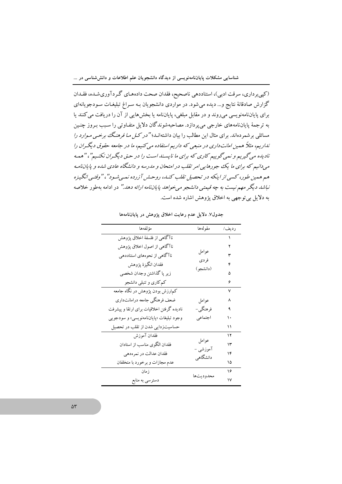(کپیبرداری، سرقت ادبی)، استناددهی ناصحیح، فقدان صحت دادههـای گـردآوریشـده، فقـدان گزارش صادقانهٔ نتایج و… دیده می شود. در مواردی دانشجویان بـه سـراغ تبلیغـات سـودجویانهای برای پایاننامهنویسی میروند و در مقابل مبلغی، پایاننامه یا بخشهایی از آن را دریافت می کنند یا به ترجمهٔ پایاننامههای خارجی می پردازد. مصاحبهشوندگان دلایل متفـاوتی را سـبب بـروز چنـین مسائل<sub>ی</sub> بر شمر دهاند. برای مثال این مطالب را بیان داشتهانـد؛" *در کـل مـا فرهنـگ برخـبی مـوارد را* نداریم، مثلاً همین امانت داری در منبعی که داریم استفاده می کنیم، ما در جامعه حقوق دیگران را نادیده می گیریم و نمی گوییم کاری که برای ما ناپسند است را در حتی دیگران نکنیم"، " همه می دانیم که برای ما یک جورهایی امر تقلب در امتحان و مدرسه و دانشگاه عادی شده و پایاننامه هم همین طور، کسی از اینکه در تحصیل تقلب کنـه، روحـش آزرده نمـی شـود"، "وقتـی انگـیـزه .<br>نباشد دیگر مهم نیست به چه قیمتی دانشجو می خواهد پایان *نامه ارائه دهد."* در ادامه بهطور خلاصه به دلایل بی توجهی به اخلاق یژوهش اشاره شده است.

| مؤلفهها                                   | مقو لەھا             | ر ديف/ |
|-------------------------------------------|----------------------|--------|
| ناآگاهی از فلسفهٔ اخلاق پژوهش             |                      |        |
| ناآگاهی از اصول اخلاق پژوهش               |                      | ۲      |
| ناآگاهی از نحوههای استناددهی              | عوامل                | ٣      |
| فقدان انگيزهٔ پژوهش                       | فر دی                | ۴      |
| زير پا گذاشتن وجدان شخصي                  | (دانشجو )            | ۵      |
| کم کاری و تنبلی دانشجو                    |                      | ۶      |
| کمهارزش بودن پژوهش در نگاه جامعه          |                      | ٧      |
| ضعف فرهنگی جامعه درامانتداری              | عوامل                | ٨      |
| نادیده گرفتن اخلاقیات برای ارتقا و پیشرفت | فرهنگی –             | ٩      |
| وجود تبليغات «پاياننامەنويسى» و سودجويى   | اجتماعي              | ۱۰     |
| حساسیتزدایی شدن از تقلب در تحصیل          |                      | ۱۱     |
| فقدان آموزش                               |                      | ۱۲     |
| فقدان الگوی مناسب از استادان              | عوامل                | ۱۳     |
| فقدان عدالت در نمرهدهي                    | آموزشي –<br>دانشگاهی | ۱۴     |
| عدم مجازات و برخورد با متخلفان            |                      | ۱۵     |
| زمان                                      |                      | ۱۶     |
| دسترسي به منابع                           | محدو ديتها           | ۱۷     |

جدول۷. دلایل عدم رعایت اخلاق پژوهش در پایاننامهها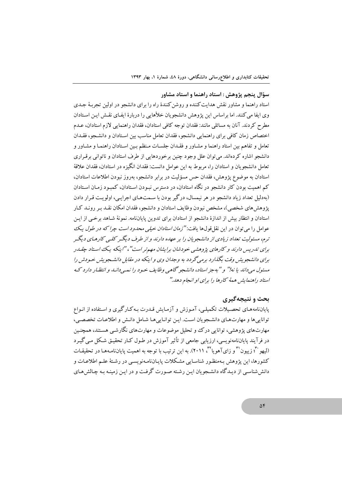#### سؤال پنجم پژوهش : استاد راهنما و استاد مشاور

استاد راهنما و مشاور نقش هدایت کننده و روشن کنندهٔ راه را برای دانشجو در اولین تحریهٔ حیدی وی ایفا می کنند. اما براساس این پژوهش دانشجویان خلأهایی را دربارهٔ ایفـای نقـش ایـن اسـتادان مطرح کردند. آنان به مسائلی مانند: فقدان توجه کافی استادان، فقدان راهنمایی لازم استادان، عـدم اختصاص زمان كافي براي راهنمايي دانشجو، فقدان تعامل مناسب بين استادان و دانشجو، فقـدان تعامل و تفاهم بین استاد راهنما و مشـاور و فقـدان جلسـات مـنظم بـین اسـتادان راهنمـا و مشـاور و دانشجو اشاره کر دهاند. می توان علل وجود چنین برخوردهایی از طرف استادان و ناتوانی برقیراری تعامل دانشجو بان و استادان را، مربوط به این عوامل دانست: فقدان انگیزه در استادان، فقدان علاقهٔ استادان به موضوع یژوهش، فقدان حس مسؤلیت در برابر دانشجو، بهروز نبودن اطلاعات استادان، کم اهمیت بودن کار دانشجو در نگاه استادان، در دسترس نیودن استادان، کمیود زمیان استادان (بهدلیل تعداد زیاد دانشجو در هر نیمسال، درگیر بودن با سـمتهـای اجرایـی، اولویـت قـرار دادن یژوهش های شخصی)، مشخص نبودن وظایف استادان و دانشجو، فقدان امکان نقـد بـر رونـد کـار استادان و انتظار بیش از اندازهٔ دانشجو از استادان برای تدوین پایاننامه. نمونهٔ شـاهد برخـی از ایـن عوامل را می توان در این نقل قولها یافت: *"زمان استادان خیلی محدود است چرا که در طول ی*ک ترم، مسئولیت تعداد زیادی از دانشجو پان را بر عهده دارند و از طرف دیگیر کلبی کارهای دیگیر برای تدربس دارند و کارهای پژوهشی خودشان برایشان مهیرتر است"، "ابنکه بیک استاد چقبه د برای دانشجو بش وقت بگذارد برمه گردد به وجدان وی و اینکه در مقابل دانشجو بش خبودش را مسئول می داند با نه!" و "په جز استاد، دانشجو گاهبی وظایف خیود را نبهی دانید و انتظیار دارد کیه استاد راهنهایش هههٔ کارها را برای او انجام دهد."

#### بحث و نتیجهگیری

پایاننامههای تحصیلات تکمیلی، آموزش و آزمایش قـدرت بـهکـارگیری و اسـتفاده از انـواع توانایی ها و مهارت های دانشجویان است. این توانایی هـا شـامل دانـش و اطلاعـات تخصصـی، مهارتهای پژوهشی، توانایی درک و تحلیل موضوعات و مهارتهای نگارشبی هستند، همچنین در فرآیند پایاننامهنویسی، ارزیابی جامعی از تأثیر آموزش در طـول کـار تحقیـق شـکل مـی گیـرد (ليهو ٣٠ زييون ٣ و زاي آهويا ٣٠ ) (٢٠١١). به اين ترتيب با توجه به اهميت پاياننامـههـا در تحقيقـات کشورها، این یژوهش بـهمنظـور شناسـایی مشـکلات پایـانiامـهنویسـی در رشـتهٔ علـم اطلاعـات و دانششناسی از دیـدگاه دانشـجویان ایـن رشـته صـورت گرفـت و در ایـن زمینـه بـه چـالش۵مـای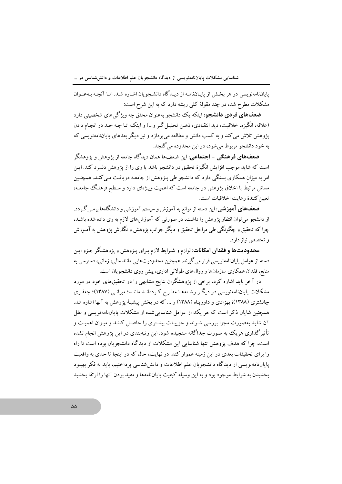پایاننامهنویسی در هر بخش از پایاننامـه از دیـدگاه دانشـجویان اشـاره شـد. امـا آنچـه بـهعنـوان مشکلات مطرح شد، در چند مقولهٔ کلم ریشه دارد که به این شرح است:

**ضعفهای فردی دانشجو**: اینکه یک دانشجو بهعنوان محقق چه ویژگیهای شخصیتی دارد (علاقه، انگیزه، خلاقیت، دید انتقـادی، ذهـن تحلیـل گـر و…) و اینکـه تـا چـه حـد در انجـام دادن یژوهش تلاش می کند و به کسب دانش و مطالعه می پردازد و نیز دیگر بعدهای پایاننامهنویسی که به خود دانشجو مربوط می شود، در این محدوده می گنجد.

ضعفهای فرهنگی - اجتماعی: این ضعفها همان دیدگاه جامعه از پژوهش و پژوهشگر است که شاید موجب افزایش انگیزهٔ تحقیق در دانشجو باشد یا وی را از یژوهش دلسرد کند. ایـن امر به میزان همکاری بستگی دارد که دانشجو طی پـژوهش از جامعـه دریافـت مـی کنـد. همچنـین مسائل مرتبط با اخلاق یژوهش در جامعه است که اهمیت ویـژهای دارد و سـطح فرهنگ جامعـه، تعبين كنندة رعايت اخلاقيات است.

**ضعفهای آموزشی**: این دسته از موانع به آموزش و سیستم آموزشی و دانشگاهها برمـی گـردد. از دانشجو می توان انتظار پژوهش را داشت، در صورتی که آموزش های لازم به وی داده شده باشـد، چرا که تحقیق و چگونگی طی مراحل تحقیق و دیگر جوانب یژوهش و نگارش پژوهش به آمـوزش و تخصص نباز دارد.

محدودیتها و فقدان امکانات: لوازم و شرایط لازم برای پـژوهش و پژوهشگر جـزو ایـن دسته از عوامل پایانiامەنویسی قرار می گیرند. همچنین محدودیتهایی مانند مالی، زمانی، دسترسی به منابع، فقدان همکاری سازمانها و روالهای طولانی اداری، پیش روی دانشجویان است.

در آخر باید اشاره کرد، برخی از یژوهشگران نتایج مشابهی را در تحقیقهای خود در مورد مشکلات پایاننامهنویسی در دیگر رشتهها مطرح کردهانـد ماننـد؛ میزانـی (۱۳۸۷)؛ جعفـری چالشتری (۱۳۸۸)؛ بهزادی و داوریناه (۱۳۸۸) و … که در بخش پیشینهٔ پژوهش به آنها اشاره شد. همچنین شایان ذکر است که هر یک از عوامل شناسایی شده از مشکلات پایانiمامهنویسی و علل آن شاید بهصورت مجزا بررسی شـوند و جزییـات بیشـتری را حاصـل کننـد و میـزان اهمیـت و تأثیر گذاری هریک به صورت جداگانه سنجیده شود. این رتبهبندی در این یژوهش انجام نشده است، چرا که هدف پژوهش تنها شناسایی این مشکلات از دیدگاه دانشجو بان بوده است تا راه را برای تحقیقات بعدی در این زمینه هموار کند. در نهایت، حال که در اینجا تا حدی به واقعیت پایاننامهنویسی از دیدگاه دانشجویان علم اطلاعات و دانش شناسی پرداختیم، باید به فکر بهبـود بخشیدن به شرایط موجود بود و به این وسیله کیفیت پایاننامهها و مفید بودن آنها را ارتقا بخشید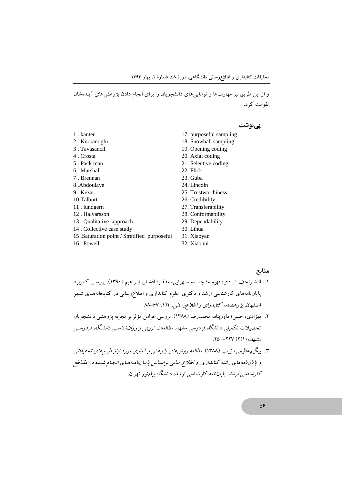و از این طریق نیز مهارتها و تواناییهای دانشجویان را برای انجام دادن پژوهشهای آیندهشان تقویت کرد.

یے نوشت

- 1. kanter
- 2. Kurbanogln
- 3. Tavasancil
- 4. Crosta
- 5. Pack man
- 6. Marshall
- 7. Brennan
- 8.Abdoulaye
- 9. Kezar
- 10.Talburt
- 11. lundgern
- 12. Halvarsson
- 13. Qualitative approach
- 14. Collective case study
- 15 .Saturation point / Stratified purposeful
- 16. Powell
- 17. purposeful sampling
- 18. Snowball sampling
- 19. Opening coding
- 20. Axial coding
- 21. Selective coding
- 22. Flick
- 23. Guba
- 24. Lincoln
- 25. Trustworthiness
- 26. Credibility
- 27. Transferability
- 28. Conformability
- 29. Dependability
- 30. Lihua
- 31. Xiaoyan
- 32. Xiaohui

#### منابع

- ۱. انتشارنجف آبـادی، فهیمـه؛ چشـمه سـهرابی، مظفـر؛ افشـار، ابـراهیم (۱۳۹۰). بررسـی کـاربرد پایاننامههای کارشناسی ارشد و دکتری علوم کتابداری و اطلاعرسانی در کتابخانههـای شـهر اصفهان. پژوهشنامه کتابدرای و اطلاع رسانبی، ۱(۱) ۸۸-۶۷
- ۲. بهزادی، حسن؛ داورپناه، محمدرضا (۱۳۸۸). بررسی عوامل مؤثر بر تجربه پژوهشی دانشجویان تحصیلات تکمیلی دانشگاه فردوسی مشهد. *مطالعات تربیتی و روان شناسبی دانشگاه فردوس*بی مشصد، ۱۰ (۲) ۲۲۷–۲۵۰.
- ۳. بیگیم عظیمی، زینب (۱۳۸۸). *مطالعه روش های پژوهش و آماری مورد نیاز طرحهای تحقیقاتی* و پایاننامههای رشته کتابداری و اطلاع رسانی براساس پایاننامههای انجام شده در مقیاطع *کارشناسی ارشد*. پایاننامه کارشناسی ارشد، دانشگاه پیامنور .تهران.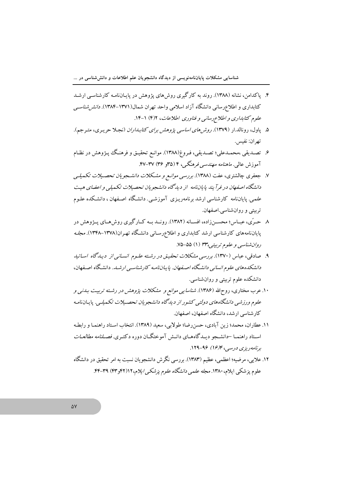- ۴. یاکدامن، نشانه (۱۳۸۸). روند به کارگیری روش های یژوهش در پایـانiامـه کارشناسـی ارشـد کتابداری و اطلاعررسانی دانشگاه آزاد اسلامی واحد تهران شمال(۱۳۷۱–۱۳۸۴). *دانش شناسی* علوم کتابداری و اطلاع رسانی و فناوری اطلاعات، ۶/۲) ۱-۱۴.
- ۵. یاول، رونالد.ار (۱۳۷۹). *روش های اساسی پژوهش برای کتابداران* (نجیلا حریبری، متبرجم). تهران: نفيس.
- ۶. تصـدیقی ،محمـدعلی؛ تصـدیقی، فـروغ(۱۳۸۸). موانـع تحقیـق و فرهنـگ پـژوهش در نظـام آموزش عالمی. *ماهنامه مهندسی فرهنگی، ۴ (۳۵و ۳۶) ۴*۷-۴۷.
- ۷. جعفری چالشتری، عفت (۱۳۸۸). برر*سی موانـع و مشـکلات دانشـجویان تحصـیلات تکمیلـی* دانشگاه اصفهان در فرآیند پایان نامه از دیدگاه دانشجویان تحصیلات تکمیلی و اعضای هیت علمی یاپانانامه کارشناسی ارشد برنامهریـزی آموزشـی دانشـگاه اصـفهان ، دانشـکده علـوم تربيتي و روان شناسي.اصفهان.
- ۸ حـرّي، عبــاس؛ محســنiاده، افســانه (۱۳۸۲). رونــد بــه كــارگيري روشهــاي پــژوهش در پایاننامههای کارشناسی ارشد کتابداری و اطلاع رسانی دانشگاه تهـران(۱۳۷۸–۱۳۴۸). م*جلـه* روان شناسی و علوم تربیتی،۳۳ (۱) ۷۵-۷۵.
- ۹. صادقی، عباس (۱۳۷۰). بررسی مشکلات تحقیق در رشته علیوم انسانی از دیبه گاه اساتید دانشکده های علوم انسانی دانشگاه اصفهان. پاییاننامه کارشناس<sub>تی</sub> ارشد. دانشگاه اصفهان، دانشکده علوم تربیتی و روانشناسی.
- ۱۰. عرب مختاری، روحالله (۱۳۸۶). *شناسا پی موانع و مشکلات پژوهش در رشته تربیت بـدنی و علوم ورزشی دانشگاههای دولتی کشور از دیدگاه دانشجو پان تحص*یلا*ت تکمیلی.* پاییاننامه کارشناسی ارشد، دانشگاه اصفهان، اصفهان.
- ١١. عطاران، محمد؛ زين آبادي، حسن رضا؛ طولابي، سعيد (١٣٨٩). انتخاب استاد راهنمـا و رابطـه اسـتاد راهنمــا –دانشــجو ديــدگاههــاي دانــش آموختگــان دوره دكتــري. *فصــلنامه مطالعــات* برنامەرېزى درسې، ۱۶۴۴-۱۲۹.
- ۱۲. علایی، مرضیه؛ اعظمی، عظیم (۱۳۸۳). بررسی نگرش دانشجویان نسبت به امر تحقیق در دانشگاه علوم پزشکی ایلام، ۱۳۸۰. *مجله علمی دانشگاه علوم پزشکی ایلام،*۶۲(۴۲و۴۳) ۳۹–۴۴.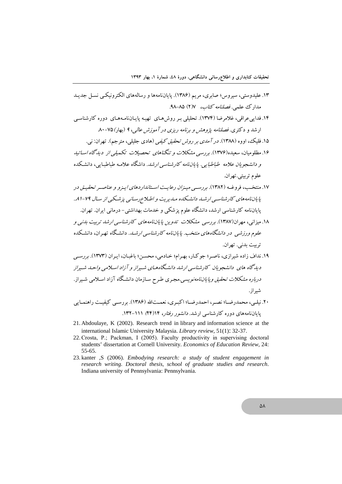- ۱۳. علیدوستی، سیروس؛ صابری، مریم (۱۳۸۶). پایانiامهها و رسالههای الکترونیک بنسا به حدید مدارك علمي. فصلنامه كتاب، ١٧/ ٨٥-٩٨. ۱۴. فدایی عراقی، غلامرضا (۱۳۷۴). تحلیلی پیر روش هیای تهیبه پاییاننامهههای دوره کارشناسی اد شد و د کتری. فصلنامه پژوهش و پرنامه ریزی در آموزش عالی، ۹ (بعاد) ۷۵-۸۰ ۱۵. فلیک، اووه (۱۳۸۸). *در آمدی بر روش تحقیق کیفی* (هادی جلیلی، مترجم). تهران: نی. ۱۶. مظلومیان، سعیده(۱۳۷۶). بر <sub>ز</sub>س<sub>یر</sub> مشکلا*ت و تنگناهای تحصیلات تکمیلی از دیدگاه اسیاتید* و دانشجو بان علامه طباطبایی بایان نامه کارشناسی ارشد. داشگاه علامیه طباطبایی، دانشکده علوم تربيتي.تهران. ۱۷. منتخب، فروغـه (۱۳۸۲). بررســی میـزا*ن دعایـت اســتانداد دهای ایـزو و عناصـر* تحقیـق در پایاننامههای کارشناسبی ارشید دانشیکده میدیریت و اطبلاعربسانبی پزشکبی از سال ۷۹-۸۱. یایاننامه کارشناسی ارشد، دانشگاه علوم یزشکی و خدمات بهداشتی– درمانی ایران. تهران.
- ۱۸. میزانی، مهران(۱۳۸۷). بررسی مشکلات ت*ندوین پایاننامههای کارشناسی ارشد تر*بیت *بدنی و* علوم ورزشب ٍ در د*انشگاههای منتخب. پایاننامه کارشناسی ا*رشـه. دانشـگاه تهـران، دانشـکده تربيت بدني. تهران.
- ۱۹. نداف زاده شیرازی، ناصر؛ جوکار، بهرام؛ خادمی، محسن؛ باغبان، ایران (۱۳۷۳). بررسبی دید گاه های ِ دانشجو مان کارشناسپ ارشد دانشگاههای شسراز و آزاد اسپلامپ واحیه شسراز *درباره مشکلات تحقیق وپایاننامەنویسی.مجری طرح س*ازمان دانشگاه آزاد اسـلامی شـیراز. شىر از .
- ۲۰. نیلبی، محمدرضــا؛ نصـر ، احمدرضــا؛ اکبـری، نعمــتالله (۱۳۸۶). بررســی کیفیــت راهنمــایی باباننامههای دوره کارشناسی ارشد. *دانشور رفتار، ۱۴(۴۴)* ۱۲۱–۱۳۲.
- 21. Abdoulaye, K (2002). Research trend in library and information science at the international Islamic University Malaysia. Library review, 51(1): 32-37.
- 22. Crosta, P.; Packman, I (2005). Faculty productivity in supervising doctoral students' dissertation at Cornell University. Economics of Education Review, 24: 55-65.
- 23. kanter ,S (2006). Embodying research: a study of student engagement in research writing. Doctoral thesis, school of graduate studies and research. Indiana university of Pennsylvania: Pennsylvania.